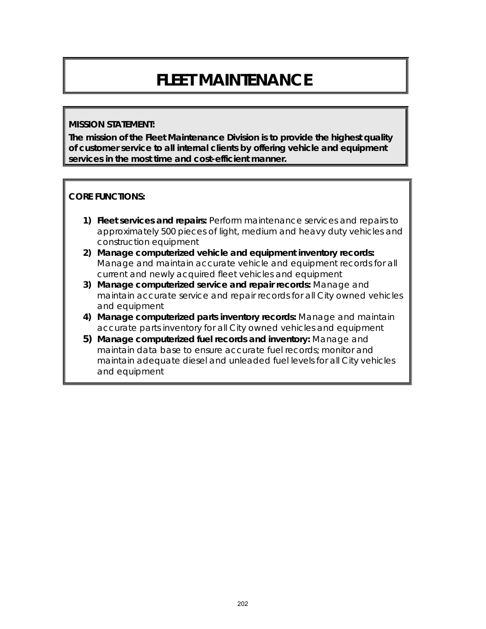# **FLEET MAINTENANCE**

#### **MISSION STATEMENT:**

**The mission of the Fleet Maintenance Division is to provide the highest quality of customer service to all internal clients by offering vehicle and equipment services in the most time and cost-efficient manner.**

#### **CORE FUNCTIONS:**

- **1) Fleet services and repairs:** Perform maintenance services and repairs to approximately 500 pieces of light, medium and heavy duty vehicles and construction equipment
- **2) Manage computerized vehicle and equipment inventory records:**  Manage and maintain accurate vehicle and equipment records for all current and newly acquired fleet vehicles and equipment
- **3) Manage computerized service and repair records:** Manage and maintain accurate service and repair records for all City owned vehicles and equipment
- **4) Manage computerized parts inventory records:** Manage and maintain accurate parts inventory for all City owned vehicles and equipment
- **5) Manage computerized fuel records and inventory:** Manage and maintain data base to ensure accurate fuel records; monitor and maintain adequate diesel and unleaded fuel levels for all City vehicles and equipment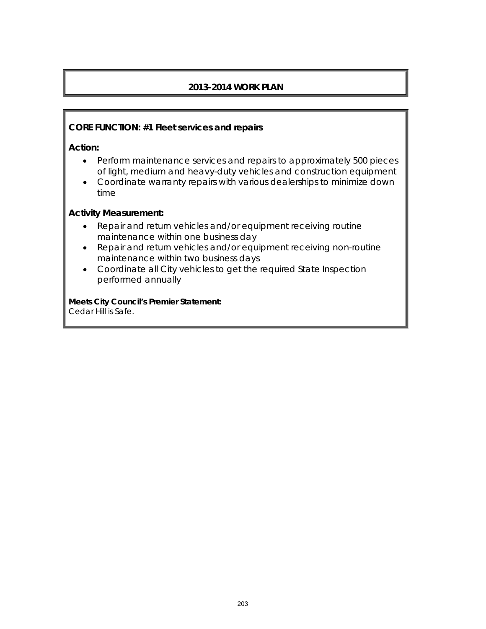# **2013-2014 WORK PLAN**

#### **CORE FUNCTION: #1 Fleet services and repairs**

**Action:** 

- Perform maintenance services and repairs to approximately 500 pieces of light, medium and heavy-duty vehicles and construction equipment
- Coordinate warranty repairs with various dealerships to minimize down time

#### **Activity Measurement:**

- Repair and return vehicles and/or equipment receiving routine maintenance within one business day
- Repair and return vehicles and/or equipment receiving non-routine maintenance within two business days
- Coordinate all City vehicles to get the required State Inspection performed annually

**Meets City Council's Premier Statement:** Cedar Hill is Safe.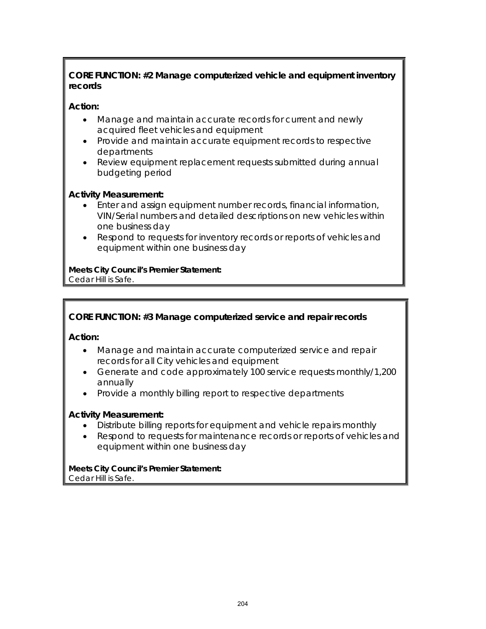# **CORE FUNCTION: #2 Manage computerized vehicle and equipment inventory records**

# **Action:**

- Manage and maintain accurate records for current and newly acquired fleet vehicles and equipment
- Provide and maintain accurate equipment records to respective departments
- Review equipment replacement requests submitted during annual budgeting period

## **Activity Measurement:**

- Enter and assign equipment number records, financial information, VIN/Serial numbers and detailed descriptions on new vehicles within one business day
- Respond to requests for inventory records or reports of vehicles and equipment within one business day

**Meets City Council's Premier Statement:** Cedar Hill is Safe.

# **CORE FUNCTION: #3 Manage computerized service and repair records**

**Action:** 

- Manage and maintain accurate computerized service and repair records for all City vehicles and equipment
- Generate and code approximately 100 service requests monthly/1,200 annually
- Provide a monthly billing report to respective departments

#### **Activity Measurement:**

- Distribute billing reports for equipment and vehicle repairs monthly
- Respond to requests for maintenance records or reports of vehicles and equipment within one business day

**Meets City Council's Premier Statement:** Cedar Hill is Safe.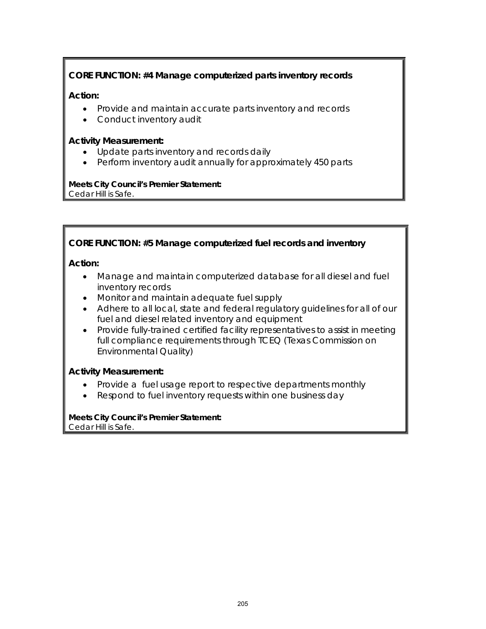# **CORE FUNCTION: #4 Manage computerized parts inventory records**

### **Action:**

- Provide and maintain accurate parts inventory and records
- Conduct inventory audit

### **Activity Measurement:**

- Update parts inventory and records daily
- Perform inventory audit annually for approximately 450 parts

#### **Meets City Council's Premier Statement:** Cedar Hill is Safe.

## **CORE FUNCTION: #5 Manage computerized fuel records and inventory**

#### **Action:**

- Manage and maintain computerized database for all diesel and fuel inventory records
- Monitor and maintain adequate fuel supply
- Adhere to all local, state and federal regulatory guidelines for all of our fuel and diesel related inventory and equipment
- Provide fully-trained certified facility representatives to assist in meeting full compliance requirements through TCEQ (Texas Commission on Environmental Quality)

#### **Activity Measurement:**

- Provide a fuel usage report to respective departments monthly
- Respond to fuel inventory requests within one business day

#### **Meets City Council's Premier Statement:** Cedar Hill is Safe.